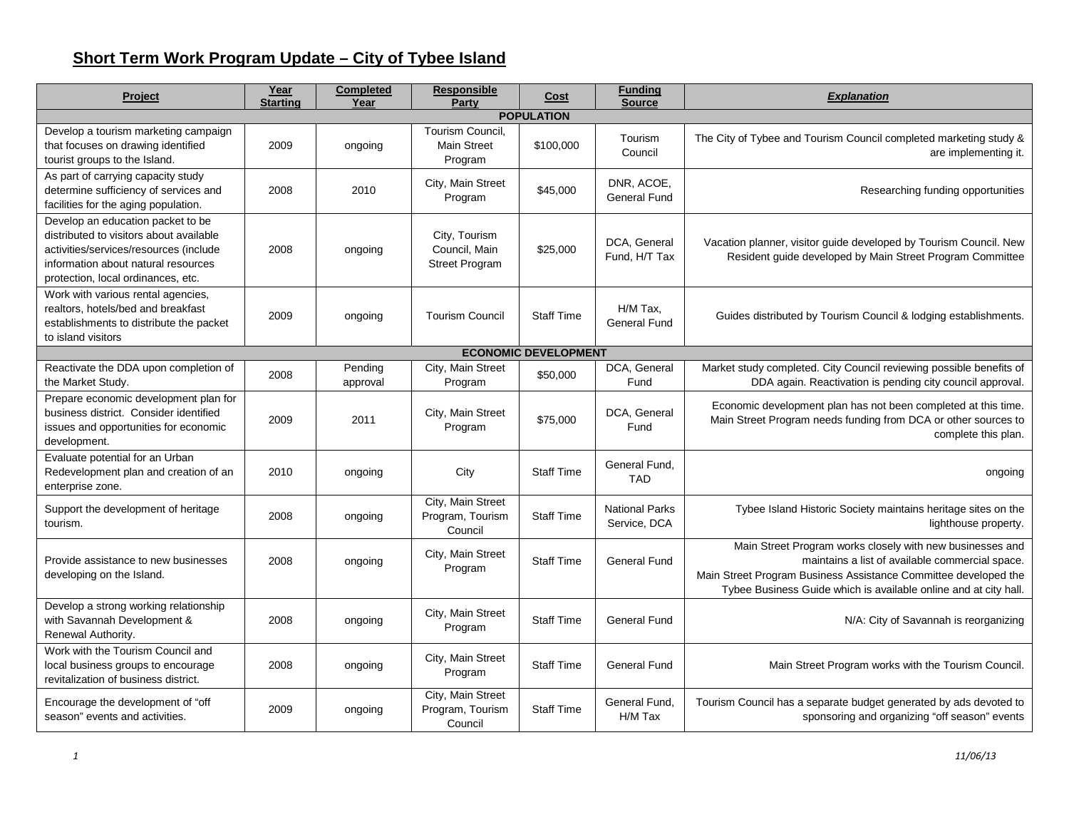| <b>Project</b>                                                                                                                                                                                      | Year<br><b>Starting</b> | <b>Completed</b><br>Year | <b>Responsible</b><br>Party                             | Cost                        | <b>Funding</b><br><b>Source</b>       | <b>Explanation</b>                                                                                                                                                                                                                                  |
|-----------------------------------------------------------------------------------------------------------------------------------------------------------------------------------------------------|-------------------------|--------------------------|---------------------------------------------------------|-----------------------------|---------------------------------------|-----------------------------------------------------------------------------------------------------------------------------------------------------------------------------------------------------------------------------------------------------|
|                                                                                                                                                                                                     |                         |                          |                                                         | <b>POPULATION</b>           |                                       |                                                                                                                                                                                                                                                     |
| Develop a tourism marketing campaign<br>that focuses on drawing identified<br>tourist groups to the Island.                                                                                         | 2009                    | ongoing                  | Tourism Council,<br><b>Main Street</b><br>Program       | \$100,000                   | Tourism<br>Council                    | The City of Tybee and Tourism Council completed marketing study &<br>are implementing it.                                                                                                                                                           |
| As part of carrying capacity study<br>determine sufficiency of services and<br>facilities for the aging population.                                                                                 | 2008                    | 2010                     | City, Main Street<br>Program                            | \$45,000                    | DNR, ACOE,<br>General Fund            | Researching funding opportunities                                                                                                                                                                                                                   |
| Develop an education packet to be<br>distributed to visitors about available<br>activities/services/resources (include<br>information about natural resources<br>protection, local ordinances, etc. | 2008                    | ongoing                  | City, Tourism<br>Council, Main<br><b>Street Program</b> | \$25,000                    | DCA, General<br>Fund, H/T Tax         | Vacation planner, visitor guide developed by Tourism Council. New<br>Resident guide developed by Main Street Program Committee                                                                                                                      |
| Work with various rental agencies,<br>realtors, hotels/bed and breakfast<br>establishments to distribute the packet<br>to island visitors                                                           | 2009                    | ongoing                  | <b>Tourism Council</b>                                  | <b>Staff Time</b>           | H/M Tax,<br><b>General Fund</b>       | Guides distributed by Tourism Council & lodging establishments.                                                                                                                                                                                     |
|                                                                                                                                                                                                     |                         |                          |                                                         | <b>ECONOMIC DEVELOPMENT</b> |                                       |                                                                                                                                                                                                                                                     |
| Reactivate the DDA upon completion of<br>the Market Study.                                                                                                                                          | 2008                    | Pending<br>approval      | City, Main Street<br>Program                            | \$50,000                    | DCA, General<br>Fund                  | Market study completed. City Council reviewing possible benefits of<br>DDA again. Reactivation is pending city council approval.                                                                                                                    |
| Prepare economic development plan for<br>business district. Consider identified<br>issues and opportunities for economic<br>development.                                                            | 2009                    | 2011                     | City, Main Street<br>Program                            | \$75,000                    | DCA, General<br>Fund                  | Economic development plan has not been completed at this time.<br>Main Street Program needs funding from DCA or other sources to<br>complete this plan.                                                                                             |
| Evaluate potential for an Urban<br>Redevelopment plan and creation of an<br>enterprise zone.                                                                                                        | 2010                    | ongoing                  | City                                                    | <b>Staff Time</b>           | General Fund,<br><b>TAD</b>           | ongoing                                                                                                                                                                                                                                             |
| Support the development of heritage<br>tourism.                                                                                                                                                     | 2008                    | ongoing                  | City, Main Street<br>Program, Tourism<br>Council        | <b>Staff Time</b>           | <b>National Parks</b><br>Service, DCA | Tybee Island Historic Society maintains heritage sites on the<br>lighthouse property.                                                                                                                                                               |
| Provide assistance to new businesses<br>developing on the Island.                                                                                                                                   | 2008                    | ongoing                  | City, Main Street<br>Program                            | <b>Staff Time</b>           | General Fund                          | Main Street Program works closely with new businesses and<br>maintains a list of available commercial space.<br>Main Street Program Business Assistance Committee developed the<br>Tybee Business Guide which is available online and at city hall. |
| Develop a strong working relationship<br>with Savannah Development &<br>Renewal Authority.                                                                                                          | 2008                    | ongoing                  | City, Main Street<br>Program                            | <b>Staff Time</b>           | <b>General Fund</b>                   | N/A: City of Savannah is reorganizing                                                                                                                                                                                                               |
| Work with the Tourism Council and<br>local business groups to encourage<br>revitalization of business district.                                                                                     | 2008                    | ongoing                  | City, Main Street<br>Program                            | <b>Staff Time</b>           | <b>General Fund</b>                   | Main Street Program works with the Tourism Council.                                                                                                                                                                                                 |
| Encourage the development of "off<br>season" events and activities.                                                                                                                                 | 2009                    | ongoing                  | City, Main Street<br>Program, Tourism<br>Council        | <b>Staff Time</b>           | General Fund,<br>H/M Tax              | Tourism Council has a separate budget generated by ads devoted to<br>sponsoring and organizing "off season" events                                                                                                                                  |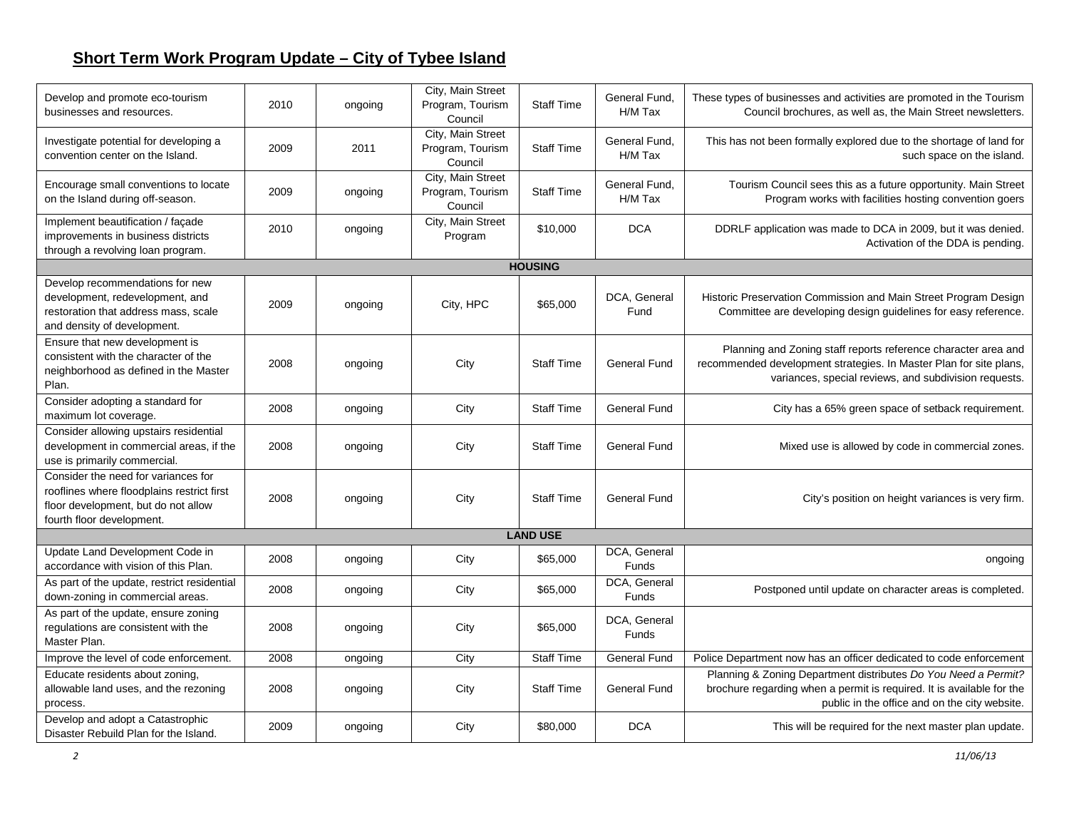| Develop and promote eco-tourism<br>businesses and resources.                                                                                          | 2010 | ongoing | City, Main Street<br>Program, Tourism<br>Council | <b>Staff Time</b> | General Fund,<br>H/M Tax     | These types of businesses and activities are promoted in the Tourism<br>Council brochures, as well as, the Main Street newsletters.                                                           |
|-------------------------------------------------------------------------------------------------------------------------------------------------------|------|---------|--------------------------------------------------|-------------------|------------------------------|-----------------------------------------------------------------------------------------------------------------------------------------------------------------------------------------------|
| Investigate potential for developing a<br>convention center on the Island.                                                                            | 2009 | 2011    | City, Main Street<br>Program, Tourism<br>Council | <b>Staff Time</b> | General Fund,<br>H/M Tax     | This has not been formally explored due to the shortage of land for<br>such space on the island.                                                                                              |
| Encourage small conventions to locate<br>on the Island during off-season.                                                                             | 2009 | ongoing | City, Main Street<br>Program, Tourism<br>Council | <b>Staff Time</b> | General Fund.<br>H/M Tax     | Tourism Council sees this as a future opportunity. Main Street<br>Program works with facilities hosting convention goers                                                                      |
| Implement beautification / façade<br>improvements in business districts<br>through a revolving loan program.                                          | 2010 | ongoing | City, Main Street<br>Program                     | \$10,000          | <b>DCA</b>                   | DDRLF application was made to DCA in 2009, but it was denied.<br>Activation of the DDA is pending.                                                                                            |
|                                                                                                                                                       |      |         |                                                  | <b>HOUSING</b>    |                              |                                                                                                                                                                                               |
| Develop recommendations for new<br>development, redevelopment, and<br>restoration that address mass, scale<br>and density of development.             | 2009 | ongoing | City, HPC                                        | \$65,000          | DCA, General<br>Fund         | Historic Preservation Commission and Main Street Program Design<br>Committee are developing design guidelines for easy reference.                                                             |
| Ensure that new development is<br>consistent with the character of the<br>neighborhood as defined in the Master<br>Plan.                              | 2008 | ongoing | City                                             | <b>Staff Time</b> | <b>General Fund</b>          | Planning and Zoning staff reports reference character area and<br>recommended development strategies. In Master Plan for site plans,<br>variances, special reviews, and subdivision requests. |
| Consider adopting a standard for<br>maximum lot coverage.                                                                                             | 2008 | ongoing | City                                             | <b>Staff Time</b> | <b>General Fund</b>          | City has a 65% green space of setback requirement.                                                                                                                                            |
| Consider allowing upstairs residential<br>development in commercial areas, if the<br>use is primarily commercial.                                     | 2008 | ongoing | City                                             | <b>Staff Time</b> | <b>General Fund</b>          | Mixed use is allowed by code in commercial zones.                                                                                                                                             |
| Consider the need for variances for<br>rooflines where floodplains restrict first<br>floor development, but do not allow<br>fourth floor development. | 2008 | ongoing | City                                             | <b>Staff Time</b> | General Fund                 | City's position on height variances is very firm.                                                                                                                                             |
|                                                                                                                                                       |      |         |                                                  | <b>LAND USE</b>   |                              |                                                                                                                                                                                               |
| Update Land Development Code in<br>accordance with vision of this Plan.                                                                               | 2008 | ongoing | City                                             | \$65,000          | DCA, General<br>Funds        | ongoing                                                                                                                                                                                       |
| As part of the update, restrict residential<br>down-zoning in commercial areas.                                                                       | 2008 | ongoing | City                                             | \$65,000          | DCA, General<br><b>Funds</b> | Postponed until update on character areas is completed.                                                                                                                                       |
| As part of the update, ensure zoning<br>regulations are consistent with the<br>Master Plan.                                                           | 2008 | ongoing | City                                             | \$65,000          | DCA, General<br>Funds        |                                                                                                                                                                                               |
| Improve the level of code enforcement.                                                                                                                | 2008 | ongoing | City                                             | <b>Staff Time</b> | <b>General Fund</b>          | Police Department now has an officer dedicated to code enforcement                                                                                                                            |
| Educate residents about zoning,<br>allowable land uses, and the rezoning<br>process.                                                                  | 2008 | ongoing | City                                             | <b>Staff Time</b> | General Fund                 | Planning & Zoning Department distributes Do You Need a Permit?<br>brochure regarding when a permit is required. It is available for the<br>public in the office and on the city website.      |
| Develop and adopt a Catastrophic<br>Disaster Rebuild Plan for the Island.                                                                             | 2009 | ongoing | City                                             | \$80,000          | <b>DCA</b>                   | This will be required for the next master plan update.                                                                                                                                        |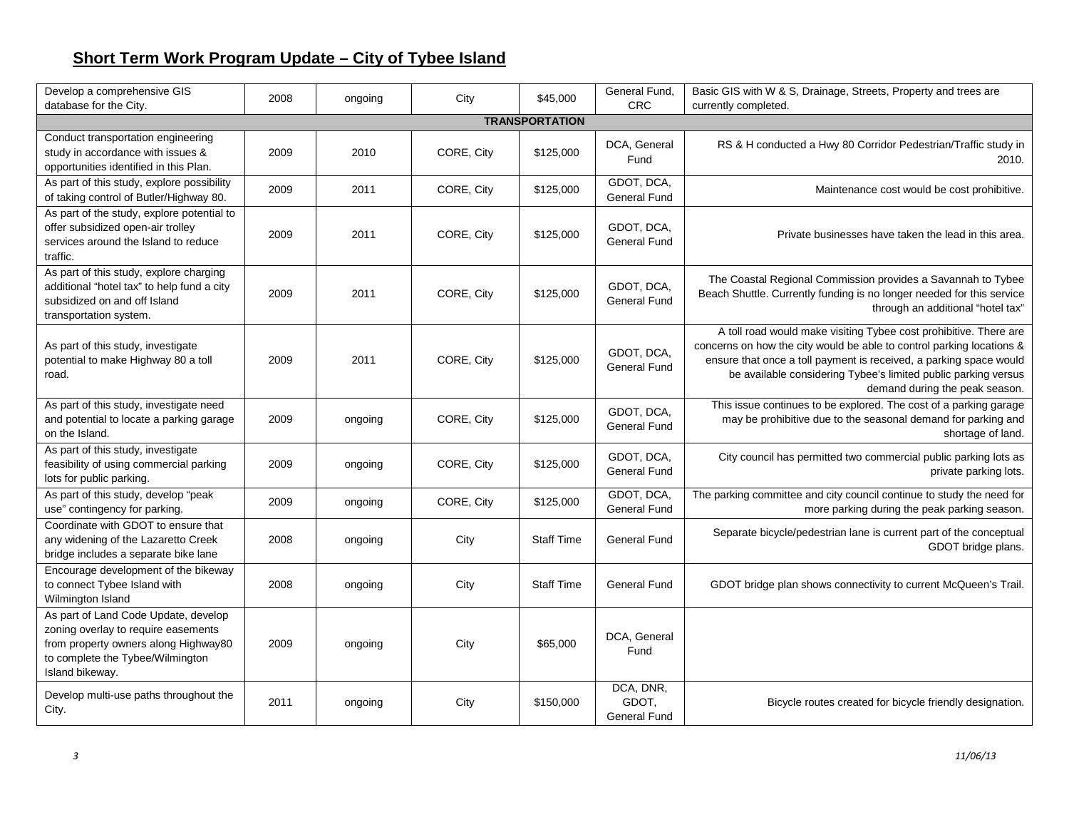| Develop a comprehensive GIS<br>database for the City.                                                                                                                      | 2008 | ongoing | City       | \$45,000              | General Fund,<br><b>CRC</b>        | Basic GIS with W & S, Drainage, Streets, Property and trees are<br>currently completed.                                                                                                                                                                                                                              |
|----------------------------------------------------------------------------------------------------------------------------------------------------------------------------|------|---------|------------|-----------------------|------------------------------------|----------------------------------------------------------------------------------------------------------------------------------------------------------------------------------------------------------------------------------------------------------------------------------------------------------------------|
|                                                                                                                                                                            |      |         |            | <b>TRANSPORTATION</b> |                                    |                                                                                                                                                                                                                                                                                                                      |
| Conduct transportation engineering                                                                                                                                         |      |         |            |                       |                                    |                                                                                                                                                                                                                                                                                                                      |
| study in accordance with issues &<br>opportunities identified in this Plan.                                                                                                | 2009 | 2010    | CORE, City | \$125,000             | DCA, General<br>Fund               | RS & H conducted a Hwy 80 Corridor Pedestrian/Traffic study in<br>2010.                                                                                                                                                                                                                                              |
| As part of this study, explore possibility<br>of taking control of Butler/Highway 80.                                                                                      | 2009 | 2011    | CORE, City | \$125,000             | GDOT, DCA,<br>General Fund         | Maintenance cost would be cost prohibitive.                                                                                                                                                                                                                                                                          |
| As part of the study, explore potential to<br>offer subsidized open-air trolley<br>services around the Island to reduce<br>traffic.                                        | 2009 | 2011    | CORE, City | \$125,000             | GDOT, DCA,<br><b>General Fund</b>  | Private businesses have taken the lead in this area.                                                                                                                                                                                                                                                                 |
| As part of this study, explore charging<br>additional "hotel tax" to help fund a city<br>subsidized on and off Island<br>transportation system.                            | 2009 | 2011    | CORE, City | \$125,000             | GDOT, DCA,<br>General Fund         | The Coastal Regional Commission provides a Savannah to Tybee<br>Beach Shuttle. Currently funding is no longer needed for this service<br>through an additional "hotel tax"                                                                                                                                           |
| As part of this study, investigate<br>potential to make Highway 80 a toll<br>road.                                                                                         | 2009 | 2011    | CORE, City | \$125,000             | GDOT, DCA,<br>General Fund         | A toll road would make visiting Tybee cost prohibitive. There are<br>concerns on how the city would be able to control parking locations &<br>ensure that once a toll payment is received, a parking space would<br>be available considering Tybee's limited public parking versus<br>demand during the peak season. |
| As part of this study, investigate need<br>and potential to locate a parking garage<br>on the Island.                                                                      | 2009 | ongoing | CORE, City | \$125,000             | GDOT, DCA,<br>General Fund         | This issue continues to be explored. The cost of a parking garage<br>may be prohibitive due to the seasonal demand for parking and<br>shortage of land.                                                                                                                                                              |
| As part of this study, investigate<br>feasibility of using commercial parking<br>lots for public parking.                                                                  | 2009 | ongoing | CORE, City | \$125,000             | GDOT, DCA,<br>General Fund         | City council has permitted two commercial public parking lots as<br>private parking lots.                                                                                                                                                                                                                            |
| As part of this study, develop "peak<br>use" contingency for parking.                                                                                                      | 2009 | ongoing | CORE, City | \$125,000             | GDOT, DCA,<br>General Fund         | The parking committee and city council continue to study the need for<br>more parking during the peak parking season.                                                                                                                                                                                                |
| Coordinate with GDOT to ensure that<br>any widening of the Lazaretto Creek<br>bridge includes a separate bike lane                                                         | 2008 | ongoing | City       | <b>Staff Time</b>     | General Fund                       | Separate bicycle/pedestrian lane is current part of the conceptual<br>GDOT bridge plans.                                                                                                                                                                                                                             |
| Encourage development of the bikeway<br>to connect Tybee Island with<br>Wilmington Island                                                                                  | 2008 | ongoing | City       | <b>Staff Time</b>     | General Fund                       | GDOT bridge plan shows connectivity to current McQueen's Trail.                                                                                                                                                                                                                                                      |
| As part of Land Code Update, develop<br>zoning overlay to require easements<br>from property owners along Highway80<br>to complete the Tybee/Wilmington<br>Island bikeway. | 2009 | ongoing | City       | \$65,000              | DCA, General<br>Fund               |                                                                                                                                                                                                                                                                                                                      |
| Develop multi-use paths throughout the<br>City.                                                                                                                            | 2011 | ongoing | City       | \$150,000             | DCA, DNR,<br>GDOT,<br>General Fund | Bicycle routes created for bicycle friendly designation.                                                                                                                                                                                                                                                             |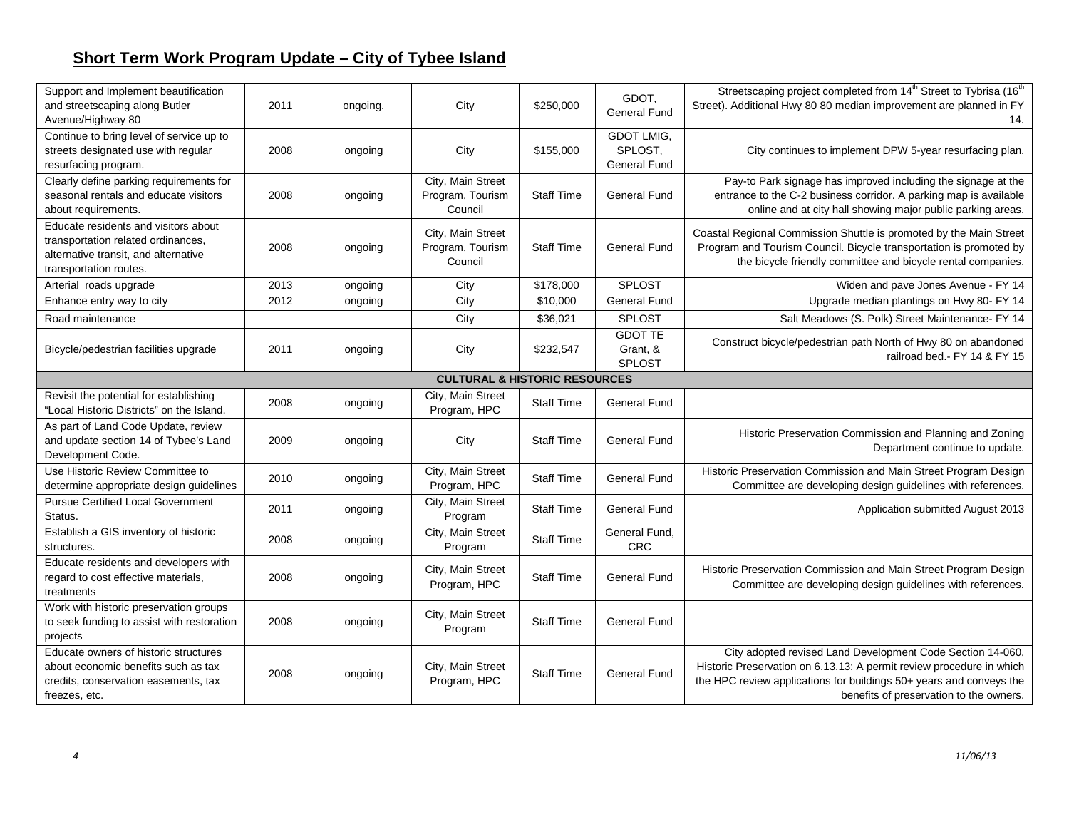| Support and Implement beautification<br>and streetscaping along Butler<br>Avenue/Highway 80                                                  | 2011 | ongoing. | City                                             | \$250,000         | GDOT,<br>General Fund                               | Streetscaping project completed from 14 <sup>th</sup> Street to Tybrisa (16 <sup>th</sup> )<br>Street). Additional Hwy 80 80 median improvement are planned in FY<br>14.                                                                             |  |  |
|----------------------------------------------------------------------------------------------------------------------------------------------|------|----------|--------------------------------------------------|-------------------|-----------------------------------------------------|------------------------------------------------------------------------------------------------------------------------------------------------------------------------------------------------------------------------------------------------------|--|--|
| Continue to bring level of service up to<br>streets designated use with regular<br>resurfacing program.                                      | 2008 | ongoing  | City                                             | \$155,000         | <b>GDOT LMIG,</b><br>SPLOST,<br><b>General Fund</b> | City continues to implement DPW 5-year resurfacing plan.                                                                                                                                                                                             |  |  |
| Clearly define parking requirements for<br>seasonal rentals and educate visitors<br>about requirements.                                      | 2008 | ongoing  | City, Main Street<br>Program, Tourism<br>Council | <b>Staff Time</b> | <b>General Fund</b>                                 | Pay-to Park signage has improved including the signage at the<br>entrance to the C-2 business corridor. A parking map is available<br>online and at city hall showing major public parking areas.                                                    |  |  |
| Educate residents and visitors about<br>transportation related ordinances,<br>alternative transit, and alternative<br>transportation routes. | 2008 | ongoing  | City, Main Street<br>Program, Tourism<br>Council | <b>Staff Time</b> | General Fund                                        | Coastal Regional Commission Shuttle is promoted by the Main Street<br>Program and Tourism Council. Bicycle transportation is promoted by<br>the bicycle friendly committee and bicycle rental companies.                                             |  |  |
| Arterial roads upgrade                                                                                                                       | 2013 | ongoing  | City                                             | \$178,000         | <b>SPLOST</b>                                       | Widen and pave Jones Avenue - FY 14                                                                                                                                                                                                                  |  |  |
| Enhance entry way to city                                                                                                                    | 2012 | ongoing  | City                                             | \$10,000          | <b>General Fund</b>                                 | Upgrade median plantings on Hwy 80- FY 14                                                                                                                                                                                                            |  |  |
| Road maintenance                                                                                                                             |      |          | City                                             | \$36,021          | <b>SPLOST</b>                                       | Salt Meadows (S. Polk) Street Maintenance- FY 14                                                                                                                                                                                                     |  |  |
| Bicycle/pedestrian facilities upgrade                                                                                                        | 2011 | ongoing  | City                                             | \$232,547         | <b>GDOT TE</b><br>Grant, &<br><b>SPLOST</b>         | Construct bicycle/pedestrian path North of Hwy 80 on abandoned<br>railroad bed. - FY 14 & FY 15                                                                                                                                                      |  |  |
| <b>CULTURAL &amp; HISTORIC RESOURCES</b>                                                                                                     |      |          |                                                  |                   |                                                     |                                                                                                                                                                                                                                                      |  |  |
| Revisit the potential for establishing<br>"Local Historic Districts" on the Island.                                                          | 2008 | ongoing  | City, Main Street<br>Program, HPC                | <b>Staff Time</b> | <b>General Fund</b>                                 |                                                                                                                                                                                                                                                      |  |  |
| As part of Land Code Update, review<br>and update section 14 of Tybee's Land<br>Development Code.                                            | 2009 | ongoing  | City                                             | <b>Staff Time</b> | <b>General Fund</b>                                 | Historic Preservation Commission and Planning and Zoning<br>Department continue to update.                                                                                                                                                           |  |  |
| Use Historic Review Committee to<br>determine appropriate design guidelines                                                                  | 2010 | ongoing  | City, Main Street<br>Program, HPC                | <b>Staff Time</b> | <b>General Fund</b>                                 | Historic Preservation Commission and Main Street Program Design<br>Committee are developing design guidelines with references.                                                                                                                       |  |  |
| <b>Pursue Certified Local Government</b><br>Status.                                                                                          | 2011 | ongoing  | City, Main Street<br>Program                     | <b>Staff Time</b> | General Fund                                        | Application submitted August 2013                                                                                                                                                                                                                    |  |  |
| Establish a GIS inventory of historic<br>structures.                                                                                         | 2008 | ongoing  | City, Main Street<br>Program                     | <b>Staff Time</b> | General Fund,<br>CRC                                |                                                                                                                                                                                                                                                      |  |  |
| Educate residents and developers with<br>regard to cost effective materials,<br>treatments                                                   | 2008 | ongoing  | City, Main Street<br>Program, HPC                | <b>Staff Time</b> | <b>General Fund</b>                                 | Historic Preservation Commission and Main Street Program Design<br>Committee are developing design guidelines with references.                                                                                                                       |  |  |
| Work with historic preservation groups<br>to seek funding to assist with restoration<br>projects                                             | 2008 | ongoing  | City, Main Street<br>Program                     | <b>Staff Time</b> | General Fund                                        |                                                                                                                                                                                                                                                      |  |  |
| Educate owners of historic structures<br>about economic benefits such as tax<br>credits, conservation easements, tax<br>freezes, etc.        | 2008 | ongoing  | City, Main Street<br>Program, HPC                | <b>Staff Time</b> | <b>General Fund</b>                                 | City adopted revised Land Development Code Section 14-060,<br>Historic Preservation on 6.13.13: A permit review procedure in which<br>the HPC review applications for buildings 50+ years and conveys the<br>benefits of preservation to the owners. |  |  |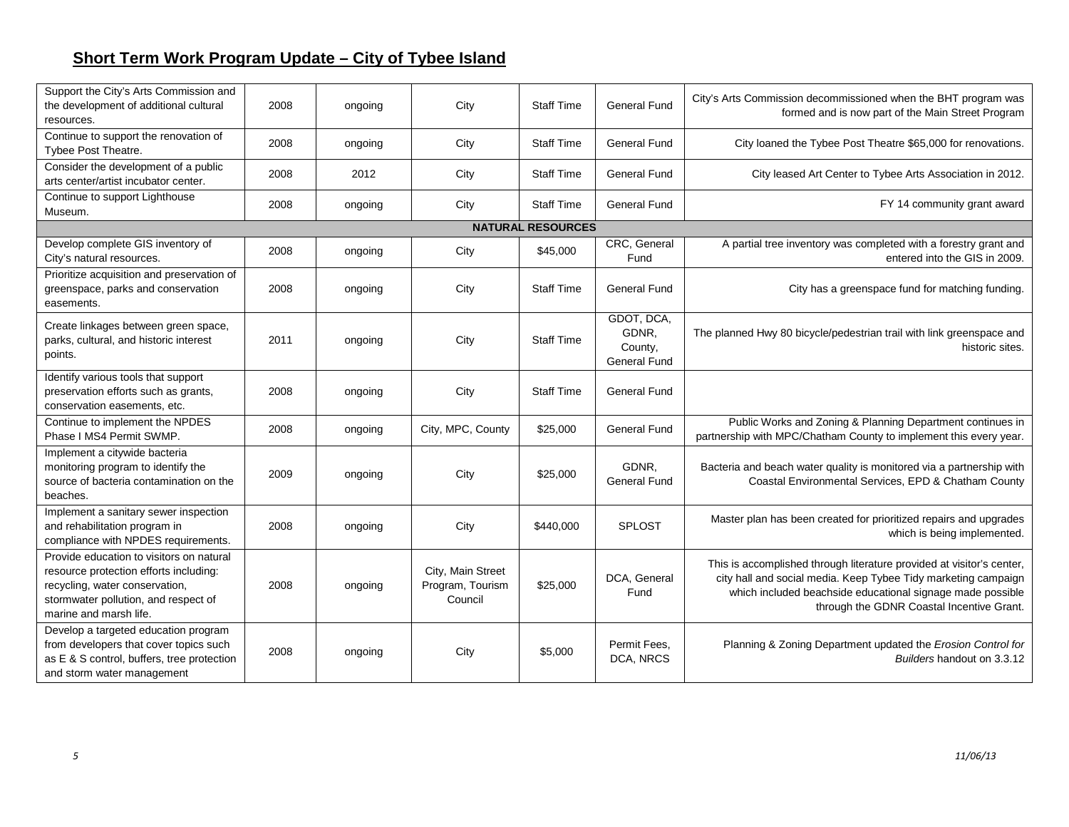| Support the City's Arts Commission and<br>the development of additional cultural<br>resources.                                                                                         | 2008 | ongoing | City                                             | <b>Staff Time</b>        | <b>General Fund</b>                            | City's Arts Commission decommissioned when the BHT program was<br>formed and is now part of the Main Street Program                                                                                                                                |
|----------------------------------------------------------------------------------------------------------------------------------------------------------------------------------------|------|---------|--------------------------------------------------|--------------------------|------------------------------------------------|----------------------------------------------------------------------------------------------------------------------------------------------------------------------------------------------------------------------------------------------------|
| Continue to support the renovation of<br>Tybee Post Theatre.                                                                                                                           | 2008 | ongoing | City                                             | <b>Staff Time</b>        | General Fund                                   | City loaned the Tybee Post Theatre \$65,000 for renovations.                                                                                                                                                                                       |
| Consider the development of a public<br>arts center/artist incubator center.                                                                                                           | 2008 | 2012    | City                                             | <b>Staff Time</b>        | General Fund                                   | City leased Art Center to Tybee Arts Association in 2012.                                                                                                                                                                                          |
| Continue to support Lighthouse<br>Museum.                                                                                                                                              | 2008 | ongoing | City                                             | <b>Staff Time</b>        | General Fund                                   | FY 14 community grant award                                                                                                                                                                                                                        |
|                                                                                                                                                                                        |      |         |                                                  | <b>NATURAL RESOURCES</b> |                                                |                                                                                                                                                                                                                                                    |
| Develop complete GIS inventory of<br>City's natural resources.                                                                                                                         | 2008 | ongoing | City                                             | \$45,000                 | CRC, General<br>Fund                           | A partial tree inventory was completed with a forestry grant and<br>entered into the GIS in 2009.                                                                                                                                                  |
| Prioritize acquisition and preservation of<br>greenspace, parks and conservation<br>easements.                                                                                         | 2008 | ongoing | City                                             | <b>Staff Time</b>        | General Fund                                   | City has a greenspace fund for matching funding.                                                                                                                                                                                                   |
| Create linkages between green space,<br>parks, cultural, and historic interest<br>points.                                                                                              | 2011 | ongoing | City                                             | <b>Staff Time</b>        | GDOT, DCA,<br>GDNR,<br>County,<br>General Fund | The planned Hwy 80 bicycle/pedestrian trail with link greenspace and<br>historic sites.                                                                                                                                                            |
| Identify various tools that support<br>preservation efforts such as grants,<br>conservation easements, etc.                                                                            | 2008 | ongoing | City                                             | <b>Staff Time</b>        | General Fund                                   |                                                                                                                                                                                                                                                    |
| Continue to implement the NPDES<br>Phase I MS4 Permit SWMP.                                                                                                                            | 2008 | ongoing | City, MPC, County                                | \$25,000                 | General Fund                                   | Public Works and Zoning & Planning Department continues in<br>partnership with MPC/Chatham County to implement this every year.                                                                                                                    |
| Implement a citywide bacteria<br>monitoring program to identify the<br>source of bacteria contamination on the<br>beaches.                                                             | 2009 | ongoing | City                                             | \$25,000                 | GDNR,<br><b>General Fund</b>                   | Bacteria and beach water quality is monitored via a partnership with<br>Coastal Environmental Services, EPD & Chatham County                                                                                                                       |
| Implement a sanitary sewer inspection<br>and rehabilitation program in<br>compliance with NPDES requirements.                                                                          | 2008 | ongoing | City                                             | \$440,000                | <b>SPLOST</b>                                  | Master plan has been created for prioritized repairs and upgrades<br>which is being implemented.                                                                                                                                                   |
| Provide education to visitors on natural<br>resource protection efforts including:<br>recycling, water conservation,<br>stormwater pollution, and respect of<br>marine and marsh life. | 2008 | ongoing | City, Main Street<br>Program, Tourism<br>Council | \$25,000                 | DCA, General<br>Fund                           | This is accomplished through literature provided at visitor's center,<br>city hall and social media. Keep Tybee Tidy marketing campaign<br>which included beachside educational signage made possible<br>through the GDNR Coastal Incentive Grant. |
| Develop a targeted education program<br>from developers that cover topics such<br>as E & S control, buffers, tree protection<br>and storm water management                             | 2008 | ongoing | City                                             | \$5,000                  | Permit Fees,<br>DCA, NRCS                      | Planning & Zoning Department updated the Erosion Control for<br>Builders handout on 3.3.12                                                                                                                                                         |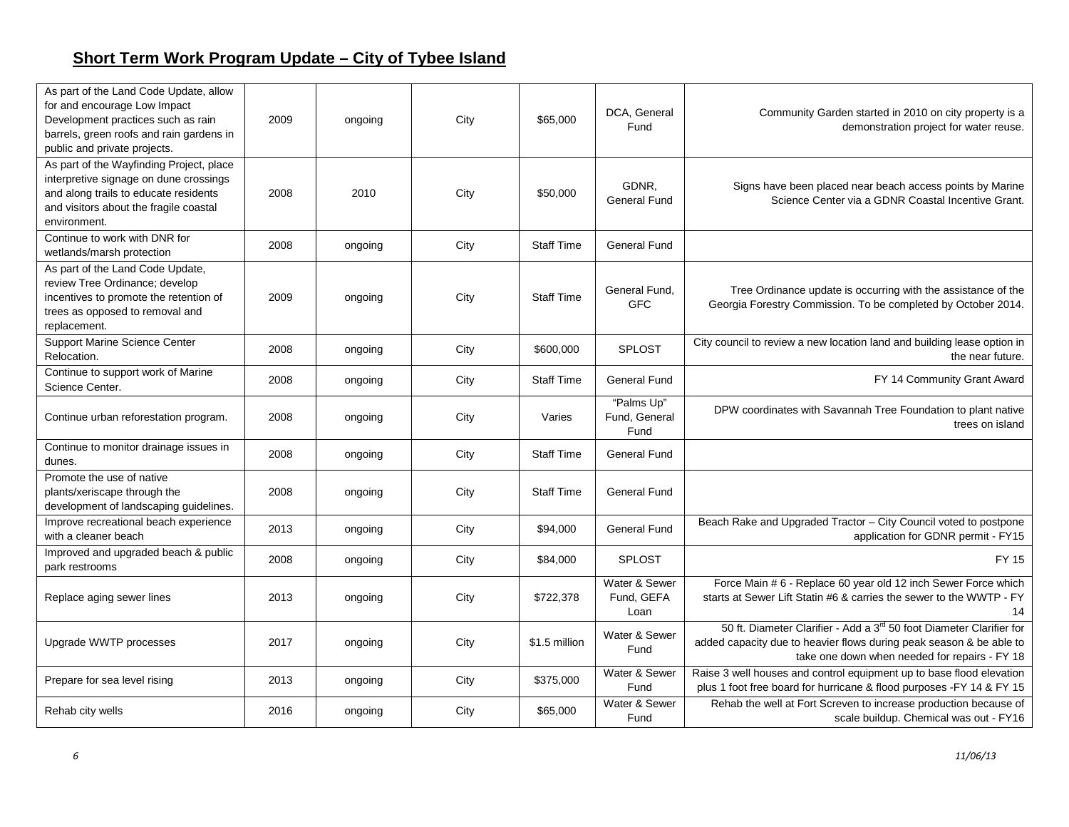| As part of the Land Code Update, allow<br>for and encourage Low Impact<br>Development practices such as rain<br>barrels, green roofs and rain gardens in<br>public and private projects. | 2009 | ongoing | City | \$65,000          | DCA. General<br>Fund                | Community Garden started in 2010 on city property is a<br>demonstration project for water reuse.                                                                                                         |
|------------------------------------------------------------------------------------------------------------------------------------------------------------------------------------------|------|---------|------|-------------------|-------------------------------------|----------------------------------------------------------------------------------------------------------------------------------------------------------------------------------------------------------|
| As part of the Wayfinding Project, place<br>interpretive signage on dune crossings<br>and along trails to educate residents<br>and visitors about the fragile coastal<br>environment.    | 2008 | 2010    | City | \$50,000          | GDNR,<br><b>General Fund</b>        | Signs have been placed near beach access points by Marine<br>Science Center via a GDNR Coastal Incentive Grant.                                                                                          |
| Continue to work with DNR for<br>wetlands/marsh protection                                                                                                                               | 2008 | ongoing | City | <b>Staff Time</b> | <b>General Fund</b>                 |                                                                                                                                                                                                          |
| As part of the Land Code Update,<br>review Tree Ordinance; develop<br>incentives to promote the retention of<br>trees as opposed to removal and<br>replacement.                          | 2009 | ongoing | City | <b>Staff Time</b> | General Fund.<br><b>GFC</b>         | Tree Ordinance update is occurring with the assistance of the<br>Georgia Forestry Commission. To be completed by October 2014.                                                                           |
| Support Marine Science Center<br>Relocation.                                                                                                                                             | 2008 | ongoing | City | \$600,000         | <b>SPLOST</b>                       | City council to review a new location land and building lease option in<br>the near future.                                                                                                              |
| Continue to support work of Marine<br>Science Center.                                                                                                                                    | 2008 | ongoing | City | <b>Staff Time</b> | <b>General Fund</b>                 | FY 14 Community Grant Award                                                                                                                                                                              |
| Continue urban reforestation program.                                                                                                                                                    | 2008 | ongoing | City | Varies            | "Palms Up"<br>Fund, General<br>Fund | DPW coordinates with Savannah Tree Foundation to plant native<br>trees on island                                                                                                                         |
| Continue to monitor drainage issues in<br>dunes.                                                                                                                                         | 2008 | ongoing | City | <b>Staff Time</b> | <b>General Fund</b>                 |                                                                                                                                                                                                          |
| Promote the use of native<br>plants/xeriscape through the<br>development of landscaping guidelines.                                                                                      | 2008 | ongoing | City | <b>Staff Time</b> | General Fund                        |                                                                                                                                                                                                          |
| Improve recreational beach experience<br>with a cleaner beach                                                                                                                            | 2013 | ongoing | City | \$94,000          | <b>General Fund</b>                 | Beach Rake and Upgraded Tractor - City Council voted to postpone<br>application for GDNR permit - FY15                                                                                                   |
| Improved and upgraded beach & public<br>park restrooms                                                                                                                                   | 2008 | ongoing | City | \$84,000          | <b>SPLOST</b>                       | FY 15                                                                                                                                                                                                    |
| Replace aging sewer lines                                                                                                                                                                | 2013 | ongoing | City | \$722,378         | Water & Sewer<br>Fund, GEFA<br>Loan | Force Main # 6 - Replace 60 year old 12 inch Sewer Force which<br>starts at Sewer Lift Statin #6 & carries the sewer to the WWTP - FY<br>14                                                              |
| Upgrade WWTP processes                                                                                                                                                                   | 2017 | ongoing | City | \$1.5 million     | Water & Sewer<br>Fund               | 50 ft. Diameter Clarifier - Add a 3 <sup>rd</sup> 50 foot Diameter Clarifier for<br>added capacity due to heavier flows during peak season & be able to<br>take one down when needed for repairs - FY 18 |
| Prepare for sea level rising                                                                                                                                                             | 2013 | ongoing | City | \$375,000         | Water & Sewer<br>Fund               | Raise 3 well houses and control equipment up to base flood elevation<br>plus 1 foot free board for hurricane & flood purposes -FY 14 & FY 15                                                             |
| Rehab city wells                                                                                                                                                                         | 2016 | ongoing | City | \$65,000          | Water & Sewer<br>Fund               | Rehab the well at Fort Screven to increase production because of<br>scale buildup. Chemical was out - FY16                                                                                               |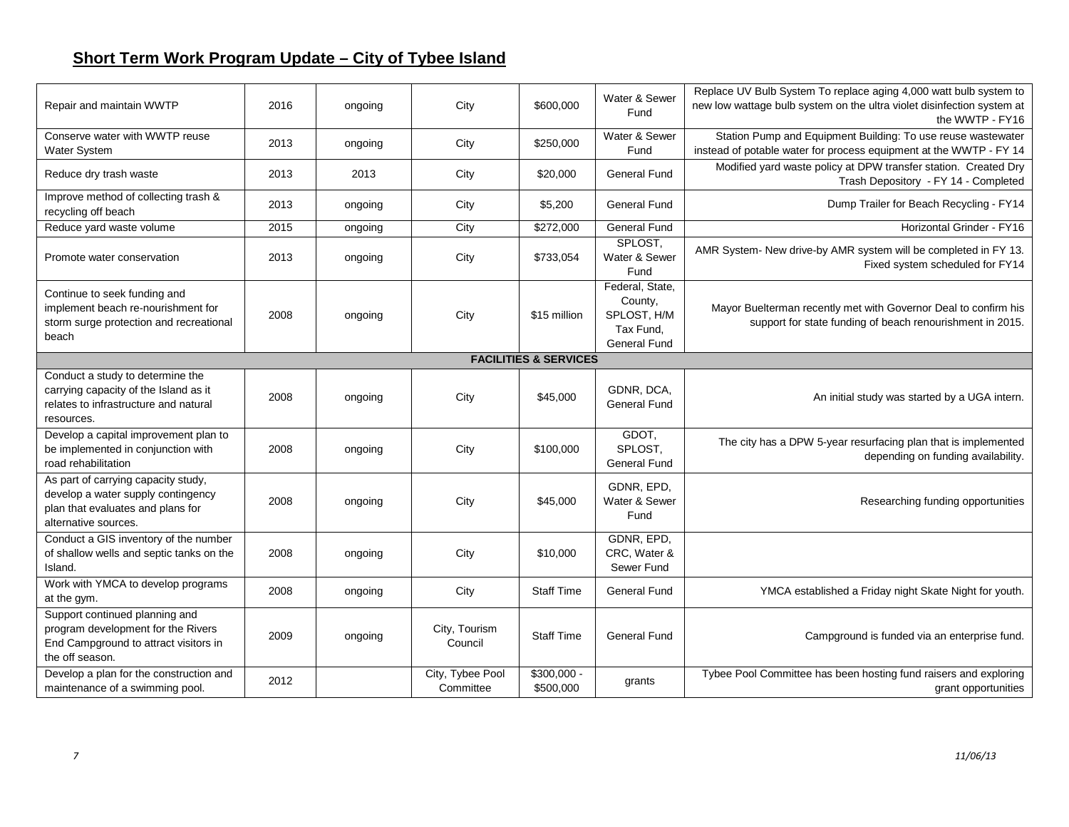| Repair and maintain WWTP                                                                                                               | 2016 | ongoing | City                          | \$600,000                        | Water & Sewer<br>Fund                                                         | Replace UV Bulb System To replace aging 4,000 watt bulb system to<br>new low wattage bulb system on the ultra violet disinfection system at<br>the WWTP - FY16 |
|----------------------------------------------------------------------------------------------------------------------------------------|------|---------|-------------------------------|----------------------------------|-------------------------------------------------------------------------------|----------------------------------------------------------------------------------------------------------------------------------------------------------------|
| Conserve water with WWTP reuse<br>Water System                                                                                         | 2013 | ongoing | City                          | \$250,000                        | Water & Sewer<br>Fund                                                         | Station Pump and Equipment Building: To use reuse wastewater<br>instead of potable water for process equipment at the WWTP - FY 14                             |
| Reduce dry trash waste                                                                                                                 | 2013 | 2013    | City                          | \$20,000                         | <b>General Fund</b>                                                           | Modified yard waste policy at DPW transfer station. Created Dry<br>Trash Depository - FY 14 - Completed                                                        |
| Improve method of collecting trash &<br>recycling off beach                                                                            | 2013 | ongoing | City                          | \$5,200                          | <b>General Fund</b>                                                           | Dump Trailer for Beach Recycling - FY14                                                                                                                        |
| Reduce yard waste volume                                                                                                               | 2015 | ongoing | City                          | \$272,000                        | <b>General Fund</b>                                                           | Horizontal Grinder - FY16                                                                                                                                      |
| Promote water conservation                                                                                                             | 2013 | ongoing | City                          | \$733,054                        | SPLOST,<br>Water & Sewer<br>Fund                                              | AMR System- New drive-by AMR system will be completed in FY 13.<br>Fixed system scheduled for FY14                                                             |
| Continue to seek funding and<br>implement beach re-nourishment for<br>storm surge protection and recreational<br>beach                 | 2008 | ongoing | City                          | \$15 million                     | Federal, State,<br>County,<br>SPLOST, H/M<br>Tax Fund,<br><b>General Fund</b> | Mayor Buelterman recently met with Governor Deal to confirm his<br>support for state funding of beach renourishment in 2015.                                   |
|                                                                                                                                        |      |         |                               | <b>FACILITIES &amp; SERVICES</b> |                                                                               |                                                                                                                                                                |
| Conduct a study to determine the<br>carrying capacity of the Island as it<br>relates to infrastructure and natural<br>resources.       | 2008 | ongoing | City                          | \$45,000                         | GDNR, DCA,<br><b>General Fund</b>                                             | An initial study was started by a UGA intern.                                                                                                                  |
| Develop a capital improvement plan to<br>be implemented in conjunction with<br>road rehabilitation                                     | 2008 | ongoing | City                          | \$100,000                        | GDOT,<br>SPLOST,<br><b>General Fund</b>                                       | The city has a DPW 5-year resurfacing plan that is implemented<br>depending on funding availability.                                                           |
| As part of carrying capacity study,<br>develop a water supply contingency<br>plan that evaluates and plans for<br>alternative sources. | 2008 | ongoing | City                          | \$45,000                         | GDNR, EPD,<br>Water & Sewer<br>Fund                                           | Researching funding opportunities                                                                                                                              |
| Conduct a GIS inventory of the number<br>of shallow wells and septic tanks on the<br>Island.                                           | 2008 | ongoing | City                          | \$10,000                         | GDNR, EPD,<br>CRC, Water &<br>Sewer Fund                                      |                                                                                                                                                                |
| Work with YMCA to develop programs<br>at the gym.                                                                                      | 2008 | ongoing | City                          | <b>Staff Time</b>                | General Fund                                                                  | YMCA established a Friday night Skate Night for youth.                                                                                                         |
| Support continued planning and<br>program development for the Rivers<br>End Campground to attract visitors in<br>the off season.       | 2009 | ongoing | City, Tourism<br>Council      | <b>Staff Time</b>                | <b>General Fund</b>                                                           | Campground is funded via an enterprise fund.                                                                                                                   |
| Develop a plan for the construction and<br>maintenance of a swimming pool.                                                             | 2012 |         | City, Tybee Pool<br>Committee | \$300,000 -<br>\$500,000         | grants                                                                        | Tybee Pool Committee has been hosting fund raisers and exploring<br>grant opportunities                                                                        |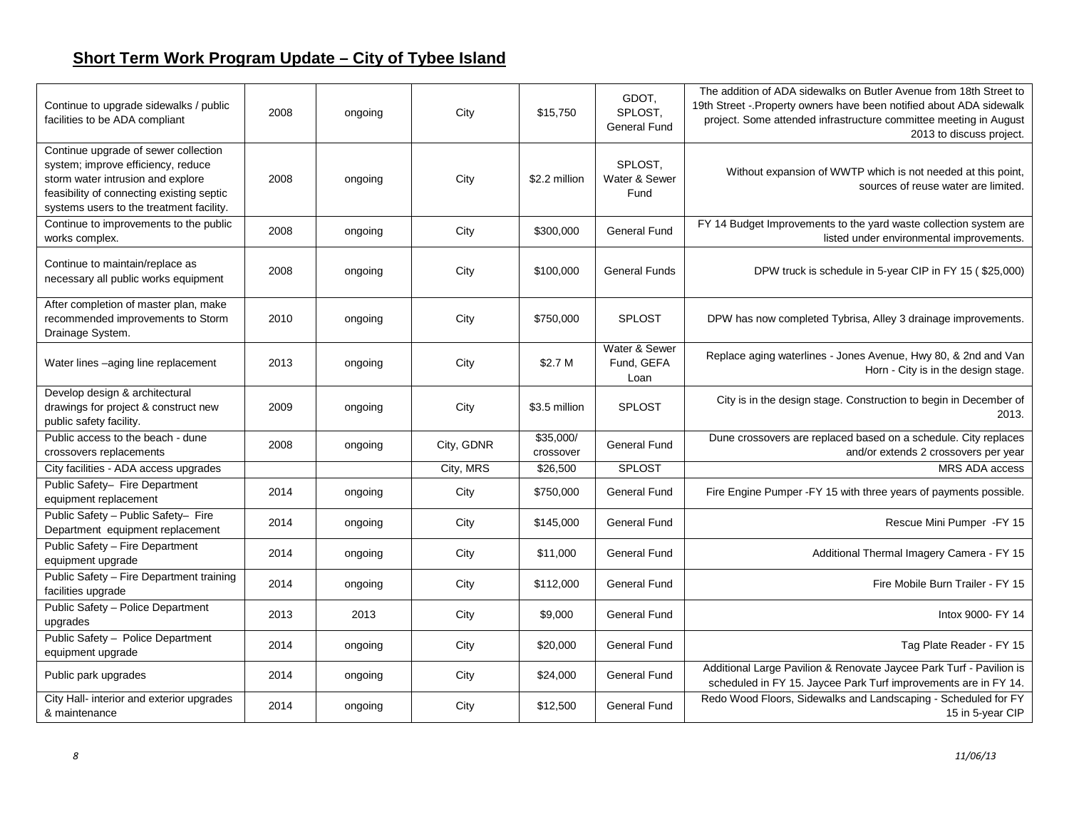| Continue to upgrade sidewalks / public<br>facilities to be ADA compliant                                                                                                                                 | 2008 | ongoing | City       | \$15,750               | GDOT,<br>SPLOST,<br><b>General Fund</b> | The addition of ADA sidewalks on Butler Avenue from 18th Street to<br>19th Street -. Property owners have been notified about ADA sidewalk<br>project. Some attended infrastructure committee meeting in August<br>2013 to discuss project. |
|----------------------------------------------------------------------------------------------------------------------------------------------------------------------------------------------------------|------|---------|------------|------------------------|-----------------------------------------|---------------------------------------------------------------------------------------------------------------------------------------------------------------------------------------------------------------------------------------------|
| Continue upgrade of sewer collection<br>system; improve efficiency, reduce<br>storm water intrusion and explore<br>feasibility of connecting existing septic<br>systems users to the treatment facility. | 2008 | ongoing | City       | \$2.2 million          | SPLOST.<br>Water & Sewer<br>Fund        | Without expansion of WWTP which is not needed at this point,<br>sources of reuse water are limited.                                                                                                                                         |
| Continue to improvements to the public<br>works complex.                                                                                                                                                 | 2008 | ongoing | City       | \$300,000              | <b>General Fund</b>                     | FY 14 Budget Improvements to the yard waste collection system are<br>listed under environmental improvements.                                                                                                                               |
| Continue to maintain/replace as<br>necessary all public works equipment                                                                                                                                  | 2008 | ongoing | City       | \$100,000              | <b>General Funds</b>                    | DPW truck is schedule in 5-year CIP in FY 15 (\$25,000)                                                                                                                                                                                     |
| After completion of master plan, make<br>recommended improvements to Storm<br>Drainage System.                                                                                                           | 2010 | ongoing | City       | \$750,000              | <b>SPLOST</b>                           | DPW has now completed Tybrisa, Alley 3 drainage improvements.                                                                                                                                                                               |
| Water lines -aging line replacement                                                                                                                                                                      | 2013 | ongoing | City       | \$2.7 M                | Water & Sewer<br>Fund, GEFA<br>Loan     | Replace aging waterlines - Jones Avenue, Hwy 80, & 2nd and Van<br>Horn - City is in the design stage.                                                                                                                                       |
| Develop design & architectural<br>drawings for project & construct new<br>public safety facility.                                                                                                        | 2009 | ongoing | City       | \$3.5 million          | <b>SPLOST</b>                           | City is in the design stage. Construction to begin in December of<br>2013.                                                                                                                                                                  |
| Public access to the beach - dune<br>crossovers replacements                                                                                                                                             | 2008 | ongoing | City, GDNR | \$35,000/<br>crossover | <b>General Fund</b>                     | Dune crossovers are replaced based on a schedule. City replaces<br>and/or extends 2 crossovers per year                                                                                                                                     |
| City facilities - ADA access upgrades                                                                                                                                                                    |      |         | City, MRS  | \$26,500               | <b>SPLOST</b>                           | MRS ADA access                                                                                                                                                                                                                              |
| Public Safety- Fire Department<br>equipment replacement                                                                                                                                                  | 2014 | ongoing | City       | \$750,000              | General Fund                            | Fire Engine Pumper - FY 15 with three years of payments possible.                                                                                                                                                                           |
| Public Safety - Public Safety- Fire<br>Department equipment replacement                                                                                                                                  | 2014 | ongoing | City       | \$145,000              | <b>General Fund</b>                     | Rescue Mini Pumper - FY 15                                                                                                                                                                                                                  |
| Public Safety - Fire Department<br>equipment upgrade                                                                                                                                                     | 2014 | ongoing | City       | \$11,000               | <b>General Fund</b>                     | Additional Thermal Imagery Camera - FY 15                                                                                                                                                                                                   |
| Public Safety - Fire Department training<br>facilities upgrade                                                                                                                                           | 2014 | ongoing | City       | \$112,000              | General Fund                            | Fire Mobile Burn Trailer - FY 15                                                                                                                                                                                                            |
| Public Safety - Police Department<br>upgrades                                                                                                                                                            | 2013 | 2013    | City       | \$9,000                | <b>General Fund</b>                     | Intox 9000- FY 14                                                                                                                                                                                                                           |
| Public Safety - Police Department<br>equipment upgrade                                                                                                                                                   | 2014 | ongoing | City       | \$20,000               | General Fund                            | Tag Plate Reader - FY 15                                                                                                                                                                                                                    |
| Public park upgrades                                                                                                                                                                                     | 2014 | ongoing | City       | \$24,000               | <b>General Fund</b>                     | Additional Large Pavilion & Renovate Jaycee Park Turf - Pavilion is<br>scheduled in FY 15. Jaycee Park Turf improvements are in FY 14.                                                                                                      |
| City Hall- interior and exterior upgrades<br>& maintenance                                                                                                                                               | 2014 | ongoing | City       | \$12,500               | <b>General Fund</b>                     | Redo Wood Floors, Sidewalks and Landscaping - Scheduled for FY<br>15 in 5-year CIP                                                                                                                                                          |